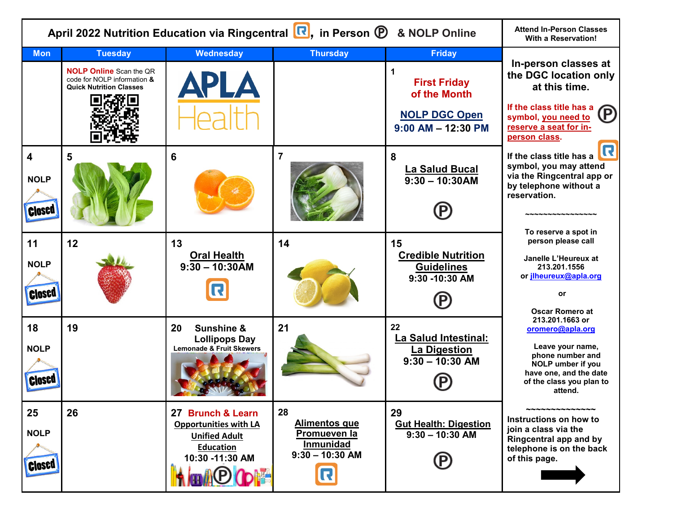| April 2022 Nutrition Education via Ringcentral <b>R</b> , in Person <b>P</b> | <b>Attend In-Person Classes</b><br><b>With a Reservation!</b>                                                     |                                                                                                                  |                                                                                          |                                                                                                             |                                                                                                                                                                            |
|------------------------------------------------------------------------------|-------------------------------------------------------------------------------------------------------------------|------------------------------------------------------------------------------------------------------------------|------------------------------------------------------------------------------------------|-------------------------------------------------------------------------------------------------------------|----------------------------------------------------------------------------------------------------------------------------------------------------------------------------|
| <b>Mon</b>                                                                   | <b>Tuesday</b><br><b>NOLP Online Scan the QR</b><br>code for NOLP information &<br><b>Quick Nutrition Classes</b> | <b>Wednesday</b><br><b>APLA</b>                                                                                  | <b>Thursday</b>                                                                          | <b>Friday</b><br>1<br><b>First Friday</b><br>of the Month<br><b>NOLP DGC Open</b><br>$9:00$ AM $-$ 12:30 PM | In-person classes at<br>the DGC location only<br>at this time.<br>If the class title has a<br>(P)<br>symbol, you need to<br>reserve a seat for in-<br>person class.        |
| $\overline{\mathbf{4}}$<br><b>NOLP</b><br><b>Closed</b>                      | 5                                                                                                                 | 6                                                                                                                | $\overline{7}$                                                                           | 8<br><b>La Salud Bucal</b><br>$9:30 - 10:30AM$                                                              | R<br>If the class title has a<br>symbol, you may attend<br>via the Ringcentral app or<br>by telephone without a<br>reservation.<br>いへんへんへんへんへんへんへん<br>To reserve a spot in |
| 11<br><b>NOLP</b><br><b>Closed</b>                                           | 12                                                                                                                | 13<br><b>Oral Health</b><br>$9:30 - 10:30$ AM                                                                    | 14                                                                                       | 15<br><b>Credible Nutrition</b><br><b>Guidelines</b><br>9:30 -10:30 AM                                      | person please call<br>Janelle L'Heureux at<br>213.201.1556<br>or <i>ilheureux@apla.org</i><br>or<br><b>Oscar Romero at</b>                                                 |
| 18<br><b>NOLP</b><br><b>Closed</b>                                           | 19                                                                                                                | 20<br><b>Sunshine &amp;</b><br><b>Lollipops Day</b><br>Lemonade & Fruit Skewers                                  | 21                                                                                       | 22<br>La Salud Intestinal:<br><b>La Digestion</b><br>$9:30 - 10:30$ AM                                      | 213.201.1663 or<br>oromero@apla.org<br>Leave your name,<br>phone number and<br><b>NOLP</b> umber if you<br>have one, and the date<br>of the class you plan to<br>attend.   |
| 25<br><b>NOLP</b><br><b>Closed</b>                                           | 26                                                                                                                | 27 Brunch & Learn<br><b>Opportunities with LA</b><br><b>Unified Adult</b><br><b>Education</b><br>10:30 -11:30 AM | 28<br><b>Alimentos que</b><br>Promueven la<br><b>Inmunidad</b><br>$9:30 - 10:30$ AM<br>R | 29<br><b>Gut Health: Digestion</b><br>$9:30 - 10:30$ AM                                                     | ~~~~~~~~~~~~<br>Instructions on how to<br>join a class via the<br>Ringcentral app and by<br>telephone is on the back<br>of this page.                                      |